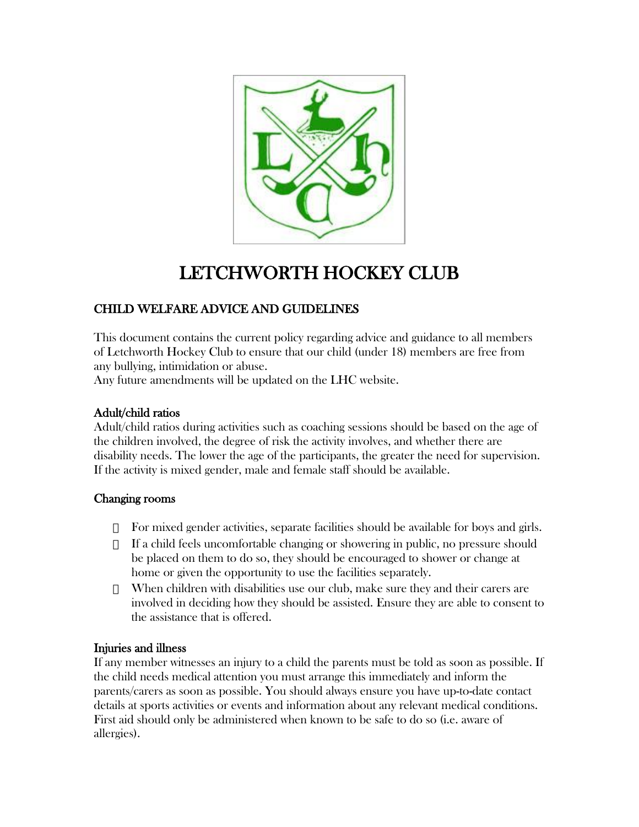

# LETCHWORTH HOCKEY CLUB

# CHILD WELFARE ADVICE AND GUIDELINES

This document contains the current policy regarding advice and guidance to all members of Letchworth Hockey Club to ensure that our child (under 18) members are free from any bullying, intimidation or abuse.

Any future amendments will be updated on the LHC website.

### Adult/child ratios

Adult/child ratios during activities such as coaching sessions should be based on the age of the children involved, the degree of risk the activity involves, and whether there are disability needs. The lower the age of the participants, the greater the need for supervision. If the activity is mixed gender, male and female staff should be available.

#### Changing rooms

For mixed gender activities, separate facilities should be available for boys and girls. If a child feels uncomfortable changing or showering in public, no pressure should be placed on them to do so, they should be encouraged to shower or change at home or given the opportunity to use the facilities separately.

When children with disabilities use our club, make sure they and their carers are involved in deciding how they should be assisted. Ensure they are able to consent to the assistance that is offered.

## Injuries and illness

If any member witnesses an injury to a child the parents must be told as soon as possible. If the child needs medical attention you must arrange this immediately and inform the parents/carers as soon as possible. You should always ensure you have up-to-date contact details at sports activities or events and information about any relevant medical conditions. First aid should only be administered when known to be safe to do so (i.e. aware of allergies).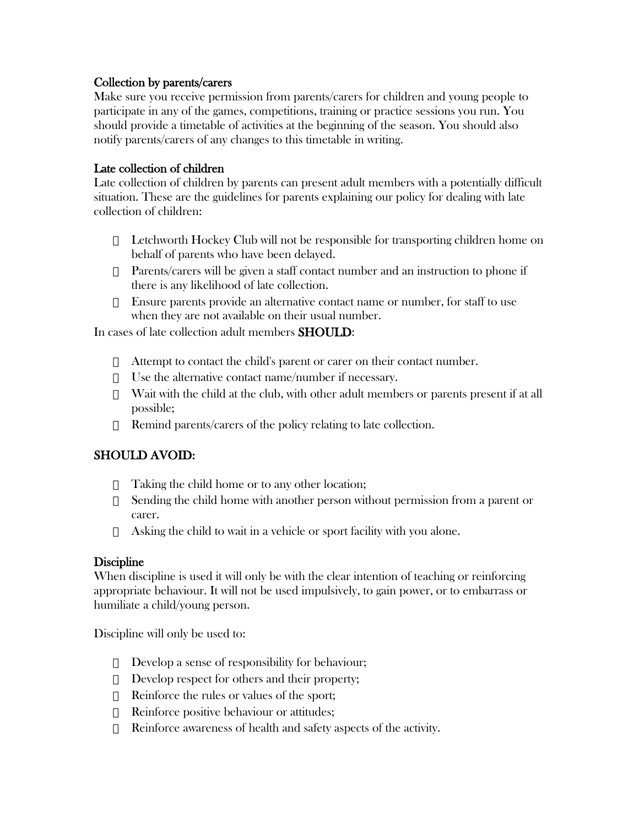#### Collection by parents/carers

Make sure you receive permission from parents/carers for children and young people to participate in any of the games, competitions, training or practice sessions you run. You should provide a timetable of activities at the beginning of the season. You should also notify parents/carers of any changes to this timetable in writing.

#### Late collection of children

Late collection of children by parents can present adult members with a potentially difficult situation. These are the guidelines for parents explaining our policy for dealing with late collection of children:

Letchworth Hockey Club will not be responsible for transporting children home on behalf of parents who have been delayed.

Parents/carers will be given a staff contact number and an instruction to phone if there is any likelihood of late collection.

Ensure parents provide an alternative contact name or number, for staff to use when they are not available on their usual number.

In cases of late collection adult members SHOULD:

Attempt to contact the child's parent or carer on their contact number.

Use the alternative contact name/number if necessary.

Wait with the child at the club, with other adult members or parents present if at all possible;

Remind parents/carers of the policy relating to late collection.

## SHOULD AVOID:

Taking the child home or to any other location;

Sending the child home with another person without permission from a parent or carer.

Asking the child to wait in a vehicle or sport facility with you alone.

#### **Discipline**

When discipline is used it will only be with the clear intention of teaching or reinforcing appropriate behaviour. It will not be used impulsively, to gain power, or to embarrass or humiliate a child/young person.

Discipline will only be used to:

Develop a sense of responsibility for behaviour; Develop respect for others and their property; Reinforce the rules or values of the sport; Reinforce positive behaviour or attitudes; Reinforce awareness of health and safety aspects of the activity.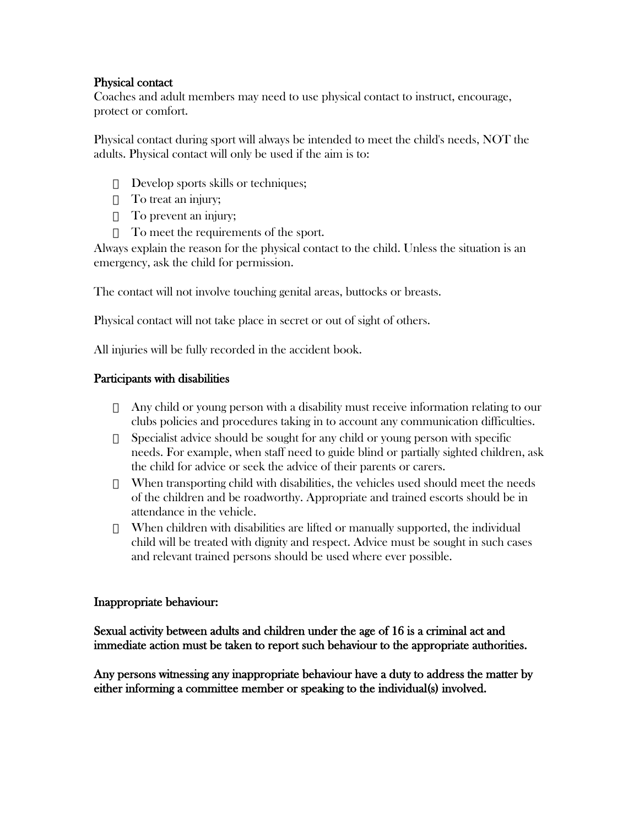#### Physical contact

Coaches and adult members may need to use physical contact to instruct, encourage, protect or comfort.

Physical contact during sport will always be intended to meet the child's needs, NOT the adults. Physical contact will only be used if the aim is to:

Develop sports skills or techniques; To treat an injury; To prevent an injury; To meet the requirements of the sport.

Always explain the reason for the physical contact to the child. Unless the situation is an emergency, ask the child for permission.

The contact will not involve touching genital areas, buttocks or breasts.

Physical contact will not take place in secret or out of sight of others.

All injuries will be fully recorded in the accident book.

#### Participants with disabilities

Any child or young person with a disability must receive information relating to our clubs policies and procedures taking in to account any communication difficulties. Specialist advice should be sought for any child or young person with specific needs. For example, when staff need to guide blind or partially sighted children, ask the child for advice or seek the advice of their parents or carers.

When transporting child with disabilities, the vehicles used should meet the needs of the children and be roadworthy. Appropriate and trained escorts should be in attendance in the vehicle.

When children with disabilities are lifted or manually supported, the individual child will be treated with dignity and respect. Advice must be sought in such cases and relevant trained persons should be used where ever possible.

#### Inappropriate behaviour:

Sexual activity between adults and children under the age of 16 is a criminal act and immediate action must be taken to report such behaviour to the appropriate authorities.

Any persons witnessing any inappropriate behaviour have a duty to address the matter by either informing a committee member or speaking to the individual(s) involved.